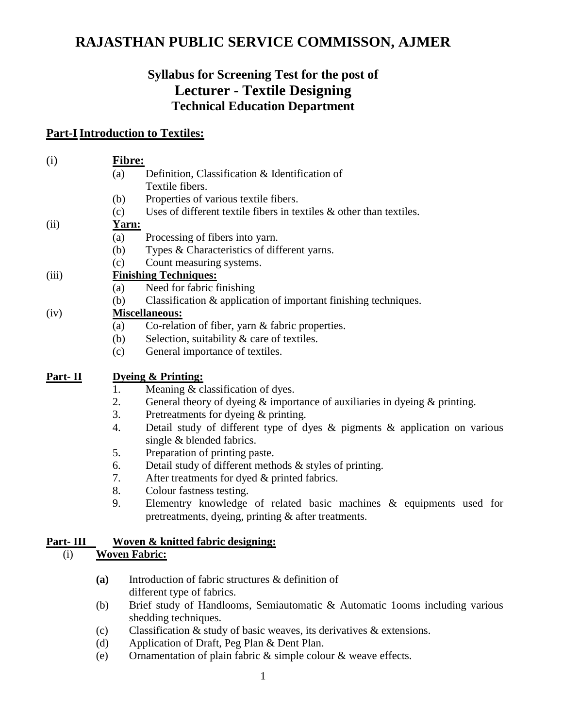# **RAJASTHAN PUBLIC SERVICE COMMISSON, AJMER**

## **Syllabus for Screening Test for the post of Lecturer - Textile Designing Technical Education Department**

### **Part-I Introduction to Textiles:**

| (i)       | Fibre:                                       |                                                                                                                            |  |
|-----------|----------------------------------------------|----------------------------------------------------------------------------------------------------------------------------|--|
|           | (a)                                          | Definition, Classification & Identification of                                                                             |  |
|           |                                              | Textile fibers.                                                                                                            |  |
|           | (b)                                          | Properties of various textile fibers.                                                                                      |  |
|           | (c)                                          | Uses of different textile fibers in textiles $\&$ other than textiles.                                                     |  |
| (ii)      |                                              | <u>Yarn:</u>                                                                                                               |  |
|           | (a)                                          | Processing of fibers into yarn.                                                                                            |  |
|           | (b)                                          | Types & Characteristics of different yarns.                                                                                |  |
|           | (c)                                          | Count measuring systems.                                                                                                   |  |
| (iii)     | <b>Finishing Techniques:</b>                 |                                                                                                                            |  |
|           | (a)                                          | Need for fabric finishing                                                                                                  |  |
|           | (b)                                          | Classification & application of important finishing techniques.                                                            |  |
| (iv)      | <b>Miscellaneous:</b>                        |                                                                                                                            |  |
|           | (a)                                          | Co-relation of fiber, yarn & fabric properties.                                                                            |  |
|           | (b)                                          | Selection, suitability & care of textiles.                                                                                 |  |
|           | (c)                                          | General importance of textiles.                                                                                            |  |
| Part- II  |                                              | <b>Dyeing &amp; Printing:</b>                                                                                              |  |
|           | 1.                                           | Meaning & classification of dyes.                                                                                          |  |
|           | 2.                                           | General theory of dyeing $\&$ importance of auxiliaries in dyeing $\&$ printing.                                           |  |
|           | 3.                                           | Pretreatments for dyeing & printing.                                                                                       |  |
|           | 4.                                           | Detail study of different type of dyes $\&$ pigments $\&$ application on various<br>single & blended fabrics.              |  |
|           | 5.                                           | Preparation of printing paste.                                                                                             |  |
|           | 6.                                           | Detail study of different methods & styles of printing.                                                                    |  |
|           | 7.                                           | After treatments for dyed & printed fabrics.                                                                               |  |
|           | 8.                                           | Colour fastness testing.                                                                                                   |  |
|           | 9.                                           | Elementry knowledge of related basic machines & equipments used for<br>pretreatments, dyeing, printing & after treatments. |  |
| Part- III | <u>Woven &amp; knitted fabric designing:</u> |                                                                                                                            |  |
| (i)       |                                              | <b>Woven Fabric:</b>                                                                                                       |  |
|           | (a)                                          | Introduction of fabric structures & definition of                                                                          |  |
|           |                                              | different type of fabrics.                                                                                                 |  |
|           | (b)                                          | Brief study of Handlooms, Semiautomatic & Automatic 100ms including various                                                |  |
|           |                                              | shedding techniques.                                                                                                       |  |
|           | (c)                                          | Classification $\&$ study of basic weaves, its derivatives $\&$ extensions.                                                |  |
|           | (d)                                          | Application of Draft, Peg Plan & Dent Plan.                                                                                |  |
|           | (e)                                          | Ornamentation of plain fabric & simple colour & weave effects.                                                             |  |
|           |                                              |                                                                                                                            |  |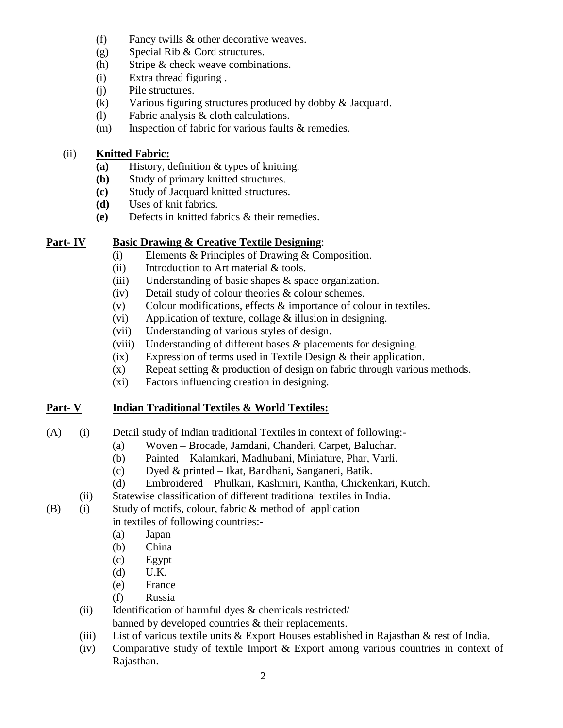- (f) Fancy twills & other decorative weaves.
- (g) Special Rib & Cord structures.
- (h) Stripe & check weave combinations.
- (i) Extra thread figuring .
- (j) Pile structures.
- (k) Various figuring structures produced by dobby & Jacquard.
- (l) Fabric analysis & cloth calculations.
- (m) Inspection of fabric for various faults & remedies.

#### (ii) **Knitted Fabric:**

- **(a)** History, definition & types of knitting.
- **(b)** Study of primary knitted structures.
- **(c)** Study of Jacquard knitted structures.
- **(d)** Uses of knit fabrics.
- **(e)** Defects in knitted fabrics & their remedies.

#### **Part- IV Basic Drawing & Creative Textile Designing**:

- (i) Elements & Principles of Drawing & Composition.
- (ii) Introduction to Art material & tools.
- (iii) Understanding of basic shapes & space organization.
- (iv) Detail study of colour theories & colour schemes.
- (v) Colour modifications, effects & importance of colour in textiles.
- (vi) Application of texture, collage & illusion in designing.
- (vii) Understanding of various styles of design.
- (viii) Understanding of different bases & placements for designing.
- (ix) Expression of terms used in Textile Design & their application.
- $(x)$  Repeat setting  $\&$  production of design on fabric through various methods.
- (xi) Factors influencing creation in designing.

#### **Part- V Indian Traditional Textiles & World Textiles:**

- (A) (i) Detail study of Indian traditional Textiles in context of following:-
	- (a) Woven Brocade, Jamdani, Chanderi, Carpet, Baluchar.
	- (b) Painted Kalamkari, Madhubani, Miniature, Phar, Varli.
	- (c) Dyed & printed Ikat, Bandhani, Sanganeri, Batik.
	- (d) Embroidered Phulkari, Kashmiri, Kantha, Chickenkari, Kutch.
	- (ii) Statewise classification of different traditional textiles in India.
- (B) (i) Study of motifs, colour, fabric & method of application

#### in textiles of following countries:-

- (a) Japan
- (b) China
- (c) Egypt
- (d) U.K.
- (e) France
- (f) Russia
- (ii) Identification of harmful dyes & chemicals restricted/
	- banned by developed countries & their replacements.
- (iii) List of various textile units & Export Houses established in Rajasthan & rest of India.
- (iv) Comparative study of textile Import & Export among various countries in context of Rajasthan.